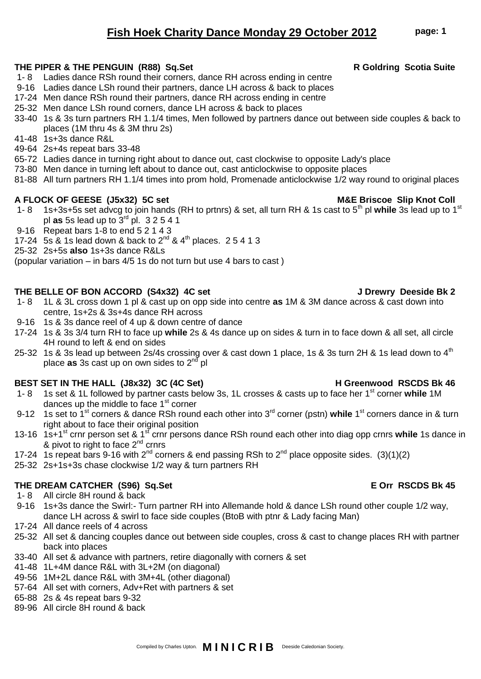# 49-64 2s+4s repeat bars 33-48

- 65-72 Ladies dance in turning right about to dance out, cast clockwise to opposite Lady's place
- 73-80 Men dance in turning left about to dance out, cast anticlockwise to opposite places

1- 8 Ladies dance RSh round their corners, dance RH across ending in centre 9-16 Ladies dance LSh round their partners, dance LH across & back to places 17-24 Men dance RSh round their partners, dance RH across ending in centre 25-32 Men dance LSh round corners, dance LH across & back to places

81-88 All turn partners RH 1.1/4 times into prom hold, Promenade anticlockwise 1/2 way round to original places

33-40 1s & 3s turn partners RH 1.1/4 times, Men followed by partners dance out between side couples & back to

## A FLOCK OF GEESE (J5x32) 5C set M8E Briscoe Slip Knot Coll

41-48 1s+3s dance R&L

places (1M thru 4s & 3M thru 2s)

- 1- 8 1s+3s+5s set advcg to join hands (RH to prtnrs) & set, all turn RH & 1s cast to 5th pl **while** 3s lead up to 1st pl **as** 5s lead up to 3rd pl. 3 2 5 4 1
- 9-16 Repeat bars 1-8 to end 5 2 1 4 3
- 17-24 5s & 1s lead down & back to  $2^{nd}$  &  $4^{th}$  places. 2 5 4 1 3
- 25-32 2s+5s **also** 1s+3s dance R&Ls

(popular variation – in bars 4/5 1s do not turn but use 4 bars to cast )

### **THE BELLE OF BON ACCORD (S4x32) 4C set J Drewry Deeside Bk 2**

- 1- 8 1L & 3L cross down 1 pl & cast up on opp side into centre **as** 1M & 3M dance across & cast down into centre, 1s+2s & 3s+4s dance RH across
- 9-16 1s & 3s dance reel of 4 up & down centre of dance
- 17-24 1s & 3s 3/4 turn RH to face up **while** 2s & 4s dance up on sides & turn in to face down & all set, all circle 4H round to left & end on sides
- 25-32 1s & 3s lead up between 2s/4s crossing over & cast down 1 place, 1s & 3s turn 2H & 1s lead down to  $4<sup>th</sup>$ place **as** 3s cast up on own sides to 2nd pl

## BEST SET IN THE HALL (J8x32) 3C (4C Set) H Greenwood RSCDS Bk 46

- 1- 8 1s set & 1L followed by partner casts below 3s, 1L crosses & casts up to face her 1st corner **while** 1M dances up the middle to face  $1<sup>st</sup>$  corner
- 9-12 1s set to 1<sup>st</sup> corners & dance RSh round each other into 3<sup>rd</sup> corner (pstn) while 1<sup>st</sup> corners dance in & turn right about to face their original position
- 13-16 1s+1st crnr person set & 1st crnr persons dance RSh round each other into diag opp crnrs **while** 1s dance in & pivot to right to face  $2^{nd}$  crnrs
- 17-24 1s repeat bars 9-16 with 2<sup>nd</sup> corners & end passing RSh to 2<sup>nd</sup> place opposite sides. (3)(1)(2)
- 25-32 2s+1s+3s chase clockwise 1/2 way & turn partners RH

# **THE DREAM CATCHER (S96) Sq.Set E Orr RSCDS Bk 45**

- 1- 8 All circle 8H round & back
- 9-16 1s+3s dance the Swirl:- Turn partner RH into Allemande hold & dance LSh round other couple 1/2 way, dance LH across & swirl to face side couples (BtoB with ptnr & Lady facing Man)
- 17-24 All dance reels of 4 across
- 25-32 All set & dancing couples dance out between side couples, cross & cast to change places RH with partner back into places
- 33-40 All set & advance with partners, retire diagonally with corners & set
- 41-48 1L+4M dance R&L with 3L+2M (on diagonal)
- 49-56 1M+2L dance R&L with 3M+4L (other diagonal)
- 57-64 All set with corners, Adv+Ret with partners & set
- 65-88 2s & 4s repeat bars 9-32
- 89-96 All circle 8H round & back

**THE PIPER & THE PENGUIN (R88) Sq.Set R Goldring Scotia Suite**

Compiled by Charles Upton. **M I N I C R I B** Deeside Caledonian Society.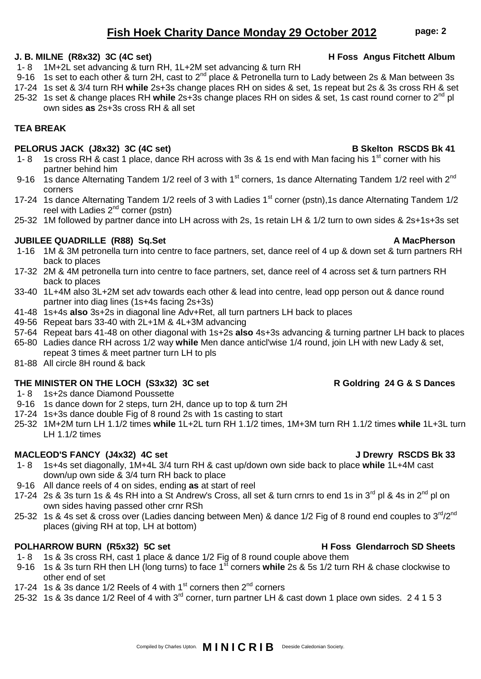# **TEA BREAK**

# **PELORUS JACK (J8x32) 3C (4C set) B Skelton RSCDS Bk 41**

- 1- 8 1s cross RH & cast 1 place, dance RH across with 3s & 1s end with Man facing his 1<sup>st</sup> corner with his partner behind him
- 9-16 1s dance Alternating Tandem 1/2 reel of 3 with 1<sup>st</sup> corners, 1s dance Alternating Tandem 1/2 reel with  $2^{nd}$ corners
- 17-24 1s dance Alternating Tandem 1/2 reels of 3 with Ladies 1<sup>st</sup> corner (pstn), 1s dance Alternating Tandem 1/2 reel with Ladies  $2^{nd}$  corner (pstn)
- 25-32 1M followed by partner dance into LH across with 2s, 1s retain LH & 1/2 turn to own sides & 2s+1s+3s set

# **JUBILEE QUADRILLE (R88) Sq.Set A MacPherson**

- 1-16 1M & 3M petronella turn into centre to face partners, set, dance reel of 4 up & down set & turn partners RH back to places
- 17-32 2M & 4M petronella turn into centre to face partners, set, dance reel of 4 across set & turn partners RH back to places
- 33-40 1L+4M also 3L+2M set adv towards each other & lead into centre, lead opp person out & dance round partner into diag lines (1s+4s facing 2s+3s)
- 41-48 1s+4s **also** 3s+2s in diagonal line Adv+Ret, all turn partners LH back to places

1- 8 1M+2L set advancing & turn RH, 1L+2M set advancing & turn RH

- 49-56 Repeat bars 33-40 with 2L+1M & 4L+3M advancing
- 57-64 Repeat bars 41-48 on other diagonal with 1s+2s **also** 4s+3s advancing & turning partner LH back to places
- 65-80 Ladies dance RH across 1/2 way **while** Men dance anticl'wise 1/4 round, join LH with new Lady & set, repeat 3 times & meet partner turn LH to pls
- 81-88 All circle 8H round & back

# **THE MINISTER ON THE LOCH (S3x32) 3C set R Goldring 24 G & S Dances**

- 1- 8 1s+2s dance Diamond Poussette
- 9-16 1s dance down for 2 steps, turn 2H, dance up to top & turn 2H
- 17-24 1s+3s dance double Fig of 8 round 2s with 1s casting to start
- 25-32 1M+2M turn LH 1.1/2 times **while** 1L+2L turn RH 1.1/2 times, 1M+3M turn RH 1.1/2 times **while** 1L+3L turn LH 1.1/2 times

# **MACLEOD'S FANCY (J4x32) 4C set J Drewry RSCDS Bk 33**

- 1- 8 1s+4s set diagonally, 1M+4L 3/4 turn RH & cast up/down own side back to place **while** 1L+4M cast down/up own side & 3/4 turn RH back to place
- 9-16 All dance reels of 4 on sides, ending **as** at start of reel
- 17-24 2s & 3s turn 1s & 4s RH into a St Andrew's Cross, all set & turn crnrs to end 1s in 3<sup>rd</sup> pl & 4s in 2<sup>nd</sup> pl on own sides having passed other crnr RSh
- 25-32 1s & 4s set & cross over (Ladies dancing between Men) & dance 1/2 Fig of 8 round end couples to 3<sup>rd</sup>/2<sup>nd</sup> places (giving RH at top, LH at bottom)

# POLHARROW BURN (R5x32) 5C set **H** Foss Glendarroch SD Sheets

- 1- 8 1s & 3s cross RH, cast 1 place & dance 1/2 Fig of 8 round couple above them
- 9-16 1s & 3s turn RH then LH (long turns) to face 1<sup>st</sup> corners while 2s & 5s 1/2 turn RH & chase clockwise to other end of set
- 17-24 1s & 3s dance  $1/2$  Reels of 4 with  $1<sup>st</sup>$  corners then  $2<sup>nd</sup>$  corners
- 25-32 1s & 3s dance 1/2 Reel of 4 with 3<sup>rd</sup> corner, turn partner LH & cast down 1 place own sides. 2 4 1 5 3

# **Fish Hoek Charity Dance Monday 29 October 2012 page: 2**

## **J. B. MILNE (R8x32) 3C (4C set) H Foss Angus Fitchett Album**

# Compiled by Charles Upton. **M I N I C R I B** Deeside Caledonian Society.

### 9-16 1s set to each other & turn 2H, cast to 2<sup>nd</sup> place & Petronella turn to Lady between 2s & Man between 3s 17-24 1s set & 3/4 turn RH **while** 2s+3s change places RH on sides & set, 1s repeat but 2s & 3s cross RH & set